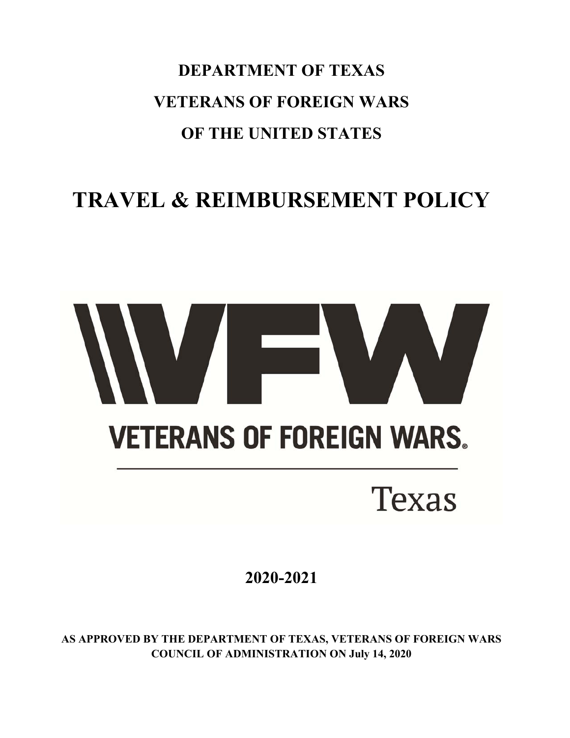**DEPARTMENT OF TEXAS VETERANS OF FOREIGN WARS OF THE UNITED STATES** 

# **TRAVEL & REIMBURSEMENT POLICY**

# **VETERANS OF FOREIGN WARS. Texas**

**2020-2021** 

**AS APPROVED BY THE DEPARTMENT OF TEXAS, VETERANS OF FOREIGN WARS COUNCIL OF ADMINISTRATION ON July 14, 2020**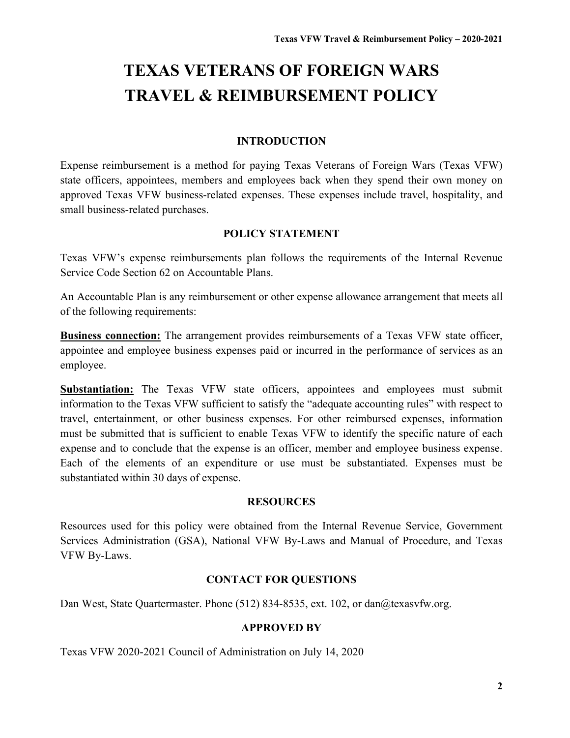# **TEXAS VETERANS OF FOREIGN WARS TRAVEL & REIMBURSEMENT POLICY**

#### **INTRODUCTION**

Expense reimbursement is a method for paying Texas Veterans of Foreign Wars (Texas VFW) state officers, appointees, members and employees back when they spend their own money on approved Texas VFW business-related expenses. These expenses include travel, hospitality, and small business-related purchases.

#### **POLICY STATEMENT**

Texas VFW's expense reimbursements plan follows the requirements of the Internal Revenue Service Code Section 62 on Accountable Plans.

An Accountable Plan is any reimbursement or other expense allowance arrangement that meets all of the following requirements:

**Business connection:** The arrangement provides reimbursements of a Texas VFW state officer, appointee and employee business expenses paid or incurred in the performance of services as an employee.

**Substantiation:** The Texas VFW state officers, appointees and employees must submit information to the Texas VFW sufficient to satisfy the "adequate accounting rules" with respect to travel, entertainment, or other business expenses. For other reimbursed expenses, information must be submitted that is sufficient to enable Texas VFW to identify the specific nature of each expense and to conclude that the expense is an officer, member and employee business expense. Each of the elements of an expenditure or use must be substantiated. Expenses must be substantiated within 30 days of expense.

#### **RESOURCES**

Resources used for this policy were obtained from the Internal Revenue Service, Government Services Administration (GSA), National VFW By-Laws and Manual of Procedure, and Texas VFW By-Laws.

#### **CONTACT FOR QUESTIONS**

Dan West, State Quartermaster. Phone (512) 834-8535, ext. 102, or dan@texasvfw.org.

#### **APPROVED BY**

Texas VFW 2020-2021 Council of Administration on July 14, 2020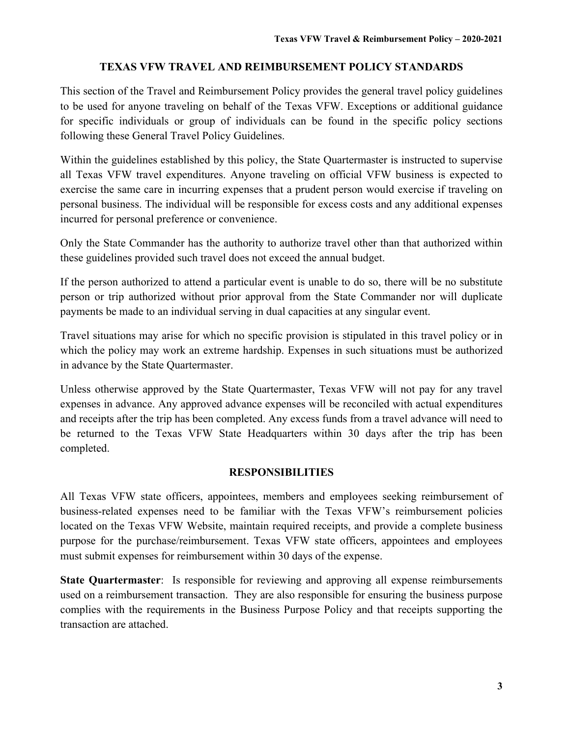#### **TEXAS VFW TRAVEL AND REIMBURSEMENT POLICY STANDARDS**

This section of the Travel and Reimbursement Policy provides the general travel policy guidelines to be used for anyone traveling on behalf of the Texas VFW. Exceptions or additional guidance for specific individuals or group of individuals can be found in the specific policy sections following these General Travel Policy Guidelines.

Within the guidelines established by this policy, the State Quartermaster is instructed to supervise all Texas VFW travel expenditures. Anyone traveling on official VFW business is expected to exercise the same care in incurring expenses that a prudent person would exercise if traveling on personal business. The individual will be responsible for excess costs and any additional expenses incurred for personal preference or convenience.

Only the State Commander has the authority to authorize travel other than that authorized within these guidelines provided such travel does not exceed the annual budget.

If the person authorized to attend a particular event is unable to do so, there will be no substitute person or trip authorized without prior approval from the State Commander nor will duplicate payments be made to an individual serving in dual capacities at any singular event.

Travel situations may arise for which no specific provision is stipulated in this travel policy or in which the policy may work an extreme hardship. Expenses in such situations must be authorized in advance by the State Quartermaster.

Unless otherwise approved by the State Quartermaster, Texas VFW will not pay for any travel expenses in advance. Any approved advance expenses will be reconciled with actual expenditures and receipts after the trip has been completed. Any excess funds from a travel advance will need to be returned to the Texas VFW State Headquarters within 30 days after the trip has been completed.

#### **RESPONSIBILITIES**

All Texas VFW state officers, appointees, members and employees seeking reimbursement of business-related expenses need to be familiar with the Texas VFW's reimbursement policies located on the Texas VFW Website, maintain required receipts, and provide a complete business purpose for the purchase/reimbursement. Texas VFW state officers, appointees and employees must submit expenses for reimbursement within 30 days of the expense.

**State Quartermaster**: Is responsible for reviewing and approving all expense reimbursements used on a reimbursement transaction. They are also responsible for ensuring the business purpose complies with the requirements in the Business Purpose Policy and that receipts supporting the transaction are attached.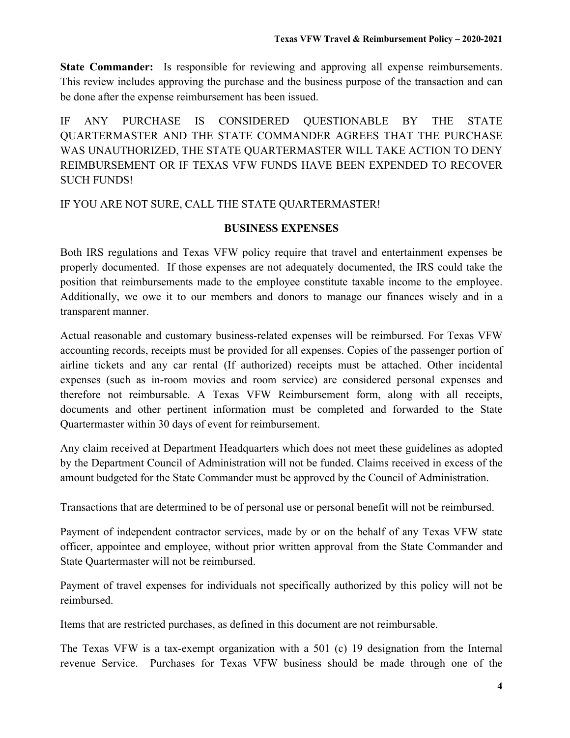**State Commander:** Is responsible for reviewing and approving all expense reimbursements. This review includes approving the purchase and the business purpose of the transaction and can be done after the expense reimbursement has been issued.

IF ANY PURCHASE IS CONSIDERED QUESTIONABLE BY THE STATE QUARTERMASTER AND THE STATE COMMANDER AGREES THAT THE PURCHASE WAS UNAUTHORIZED, THE STATE QUARTERMASTER WILL TAKE ACTION TO DENY REIMBURSEMENT OR IF TEXAS VFW FUNDS HAVE BEEN EXPENDED TO RECOVER SUCH FUNDS!

#### IF YOU ARE NOT SURE, CALL THE STATE QUARTERMASTER!

#### **BUSINESS EXPENSES**

Both IRS regulations and Texas VFW policy require that travel and entertainment expenses be properly documented. If those expenses are not adequately documented, the IRS could take the position that reimbursements made to the employee constitute taxable income to the employee. Additionally, we owe it to our members and donors to manage our finances wisely and in a transparent manner.

Actual reasonable and customary business-related expenses will be reimbursed. For Texas VFW accounting records, receipts must be provided for all expenses. Copies of the passenger portion of airline tickets and any car rental (If authorized) receipts must be attached. Other incidental expenses (such as in-room movies and room service) are considered personal expenses and therefore not reimbursable. A Texas VFW Reimbursement form, along with all receipts, documents and other pertinent information must be completed and forwarded to the State Quartermaster within 30 days of event for reimbursement.

Any claim received at Department Headquarters which does not meet these guidelines as adopted by the Department Council of Administration will not be funded. Claims received in excess of the amount budgeted for the State Commander must be approved by the Council of Administration.

Transactions that are determined to be of personal use or personal benefit will not be reimbursed.

Payment of independent contractor services, made by or on the behalf of any Texas VFW state officer, appointee and employee, without prior written approval from the State Commander and State Quartermaster will not be reimbursed.

Payment of travel expenses for individuals not specifically authorized by this policy will not be reimbursed.

Items that are restricted purchases, as defined in this document are not reimbursable.

The Texas VFW is a tax-exempt organization with a 501 (c) 19 designation from the Internal revenue Service. Purchases for Texas VFW business should be made through one of the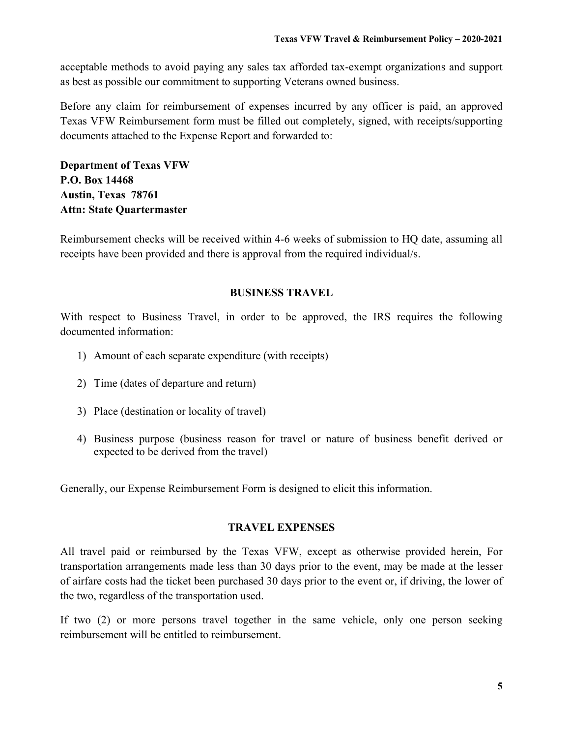acceptable methods to avoid paying any sales tax afforded tax-exempt organizations and support as best as possible our commitment to supporting Veterans owned business.

Before any claim for reimbursement of expenses incurred by any officer is paid, an approved Texas VFW Reimbursement form must be filled out completely, signed, with receipts/supporting documents attached to the Expense Report and forwarded to:

**Department of Texas VFW P.O. Box 14468 Austin, Texas 78761 Attn: State Quartermaster** 

Reimbursement checks will be received within 4-6 weeks of submission to HQ date, assuming all receipts have been provided and there is approval from the required individual/s.

#### **BUSINESS TRAVEL**

With respect to Business Travel, in order to be approved, the IRS requires the following documented information:

- 1) Amount of each separate expenditure (with receipts)
- 2) Time (dates of departure and return)
- 3) Place (destination or locality of travel)
- 4) Business purpose (business reason for travel or nature of business benefit derived or expected to be derived from the travel)

Generally, our Expense Reimbursement Form is designed to elicit this information.

#### **TRAVEL EXPENSES**

All travel paid or reimbursed by the Texas VFW, except as otherwise provided herein, For transportation arrangements made less than 30 days prior to the event, may be made at the lesser of airfare costs had the ticket been purchased 30 days prior to the event or, if driving, the lower of the two, regardless of the transportation used.

If two (2) or more persons travel together in the same vehicle, only one person seeking reimbursement will be entitled to reimbursement.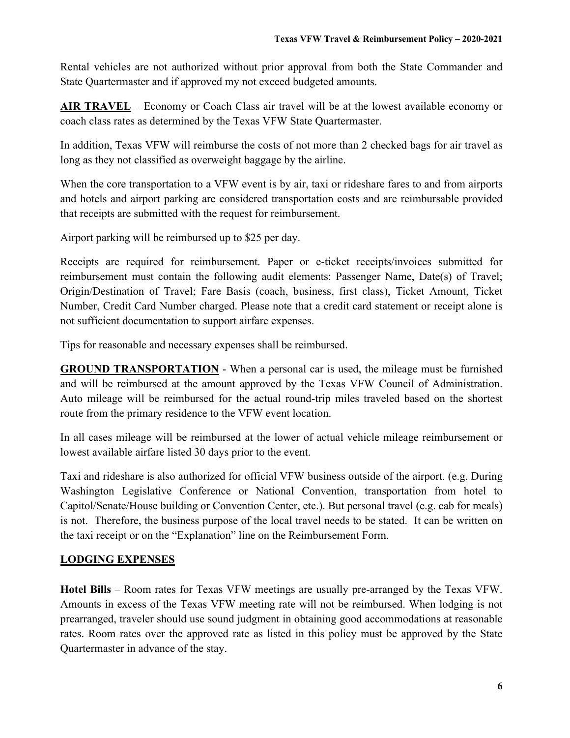Rental vehicles are not authorized without prior approval from both the State Commander and State Quartermaster and if approved my not exceed budgeted amounts.

**AIR TRAVEL** – Economy or Coach Class air travel will be at the lowest available economy or coach class rates as determined by the Texas VFW State Quartermaster.

In addition, Texas VFW will reimburse the costs of not more than 2 checked bags for air travel as long as they not classified as overweight baggage by the airline.

When the core transportation to a VFW event is by air, taxi or rideshare fares to and from airports and hotels and airport parking are considered transportation costs and are reimbursable provided that receipts are submitted with the request for reimbursement.

Airport parking will be reimbursed up to \$25 per day.

Receipts are required for reimbursement. Paper or e-ticket receipts/invoices submitted for reimbursement must contain the following audit elements: Passenger Name, Date(s) of Travel; Origin/Destination of Travel; Fare Basis (coach, business, first class), Ticket Amount, Ticket Number, Credit Card Number charged. Please note that a credit card statement or receipt alone is not sufficient documentation to support airfare expenses.

Tips for reasonable and necessary expenses shall be reimbursed.

**GROUND TRANSPORTATION** - When a personal car is used, the mileage must be furnished and will be reimbursed at the amount approved by the Texas VFW Council of Administration. Auto mileage will be reimbursed for the actual round-trip miles traveled based on the shortest route from the primary residence to the VFW event location.

In all cases mileage will be reimbursed at the lower of actual vehicle mileage reimbursement or lowest available airfare listed 30 days prior to the event.

Taxi and rideshare is also authorized for official VFW business outside of the airport. (e.g. During Washington Legislative Conference or National Convention, transportation from hotel to Capitol/Senate/House building or Convention Center, etc.). But personal travel (e.g. cab for meals) is not. Therefore, the business purpose of the local travel needs to be stated. It can be written on the taxi receipt or on the "Explanation" line on the Reimbursement Form.

### **LODGING EXPENSES**

**Hotel Bills** – Room rates for Texas VFW meetings are usually pre-arranged by the Texas VFW. Amounts in excess of the Texas VFW meeting rate will not be reimbursed. When lodging is not prearranged, traveler should use sound judgment in obtaining good accommodations at reasonable rates. Room rates over the approved rate as listed in this policy must be approved by the State Quartermaster in advance of the stay.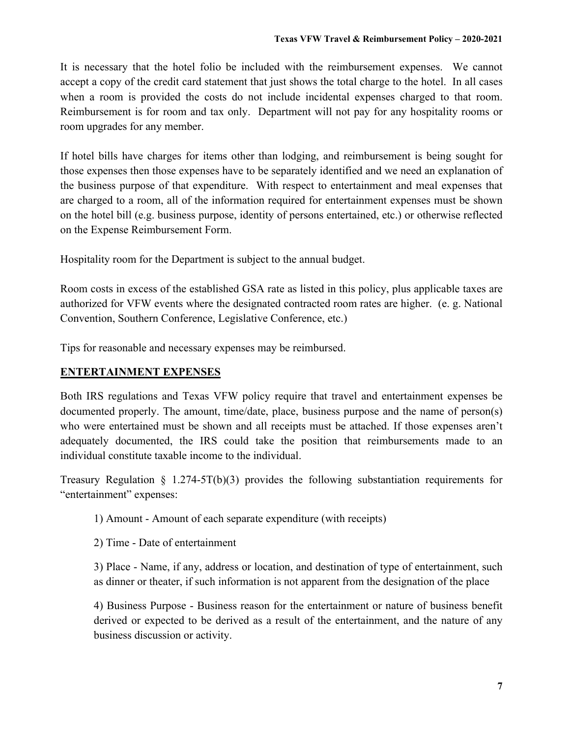It is necessary that the hotel folio be included with the reimbursement expenses. We cannot accept a copy of the credit card statement that just shows the total charge to the hotel. In all cases when a room is provided the costs do not include incidental expenses charged to that room. Reimbursement is for room and tax only. Department will not pay for any hospitality rooms or room upgrades for any member.

If hotel bills have charges for items other than lodging, and reimbursement is being sought for those expenses then those expenses have to be separately identified and we need an explanation of the business purpose of that expenditure. With respect to entertainment and meal expenses that are charged to a room, all of the information required for entertainment expenses must be shown on the hotel bill (e.g. business purpose, identity of persons entertained, etc.) or otherwise reflected on the Expense Reimbursement Form.

Hospitality room for the Department is subject to the annual budget.

Room costs in excess of the established GSA rate as listed in this policy, plus applicable taxes are authorized for VFW events where the designated contracted room rates are higher. (e. g. National Convention, Southern Conference, Legislative Conference, etc.)

Tips for reasonable and necessary expenses may be reimbursed.

#### **ENTERTAINMENT EXPENSES**

Both IRS regulations and Texas VFW policy require that travel and entertainment expenses be documented properly. The amount, time/date, place, business purpose and the name of person(s) who were entertained must be shown and all receipts must be attached. If those expenses aren't adequately documented, the IRS could take the position that reimbursements made to an individual constitute taxable income to the individual.

Treasury Regulation  $\S$  1.274-5T(b)(3) provides the following substantiation requirements for "entertainment" expenses:

1) Amount - Amount of each separate expenditure (with receipts)

2) Time - Date of entertainment

3) Place - Name, if any, address or location, and destination of type of entertainment, such as dinner or theater, if such information is not apparent from the designation of the place

4) Business Purpose - Business reason for the entertainment or nature of business benefit derived or expected to be derived as a result of the entertainment, and the nature of any business discussion or activity.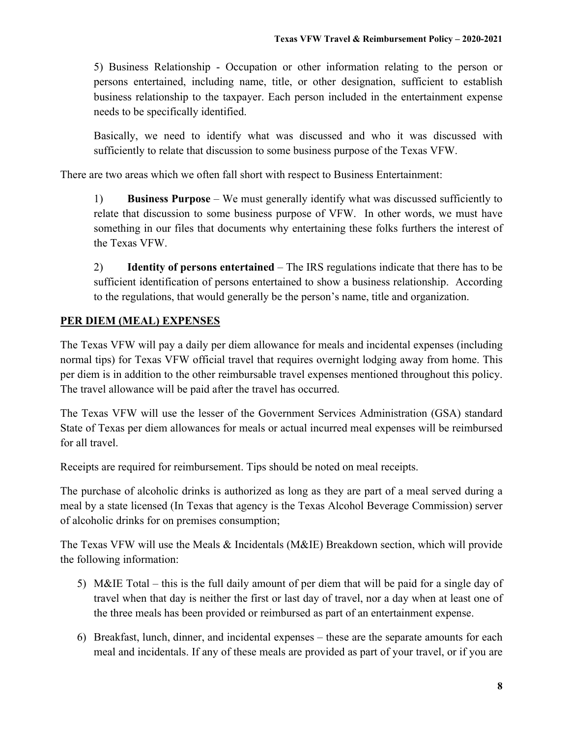5) Business Relationship - Occupation or other information relating to the person or persons entertained, including name, title, or other designation, sufficient to establish business relationship to the taxpayer. Each person included in the entertainment expense needs to be specifically identified.

Basically, we need to identify what was discussed and who it was discussed with sufficiently to relate that discussion to some business purpose of the Texas VFW.

There are two areas which we often fall short with respect to Business Entertainment:

1) **Business Purpose** – We must generally identify what was discussed sufficiently to relate that discussion to some business purpose of VFW. In other words, we must have something in our files that documents why entertaining these folks furthers the interest of the Texas VFW.

2) **Identity of persons entertained** – The IRS regulations indicate that there has to be sufficient identification of persons entertained to show a business relationship. According to the regulations, that would generally be the person's name, title and organization.

#### **PER DIEM (MEAL) EXPENSES**

The Texas VFW will pay a daily per diem allowance for meals and incidental expenses (including normal tips) for Texas VFW official travel that requires overnight lodging away from home. This per diem is in addition to the other reimbursable travel expenses mentioned throughout this policy. The travel allowance will be paid after the travel has occurred.

The Texas VFW will use the lesser of the Government Services Administration (GSA) standard State of Texas per diem allowances for meals or actual incurred meal expenses will be reimbursed for all travel.

Receipts are required for reimbursement. Tips should be noted on meal receipts.

The purchase of alcoholic drinks is authorized as long as they are part of a meal served during a meal by a state licensed (In Texas that agency is the Texas Alcohol Beverage Commission) server of alcoholic drinks for on premises consumption;

The Texas VFW will use the Meals & Incidentals (M&IE) Breakdown section, which will provide the following information:

- 5) M&IE Total this is the full daily amount of per diem that will be paid for a single day of travel when that day is neither the first or last day of travel, nor a day when at least one of the three meals has been provided or reimbursed as part of an entertainment expense.
- 6) Breakfast, lunch, dinner, and incidental expenses these are the separate amounts for each meal and incidentals. If any of these meals are provided as part of your travel, or if you are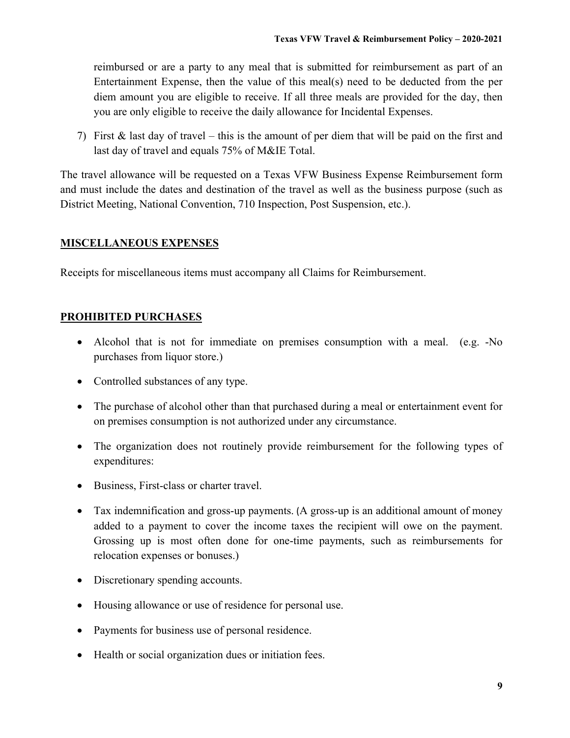reimbursed or are a party to any meal that is submitted for reimbursement as part of an Entertainment Expense, then the value of this meal(s) need to be deducted from the per diem amount you are eligible to receive. If all three meals are provided for the day, then you are only eligible to receive the daily allowance for Incidental Expenses.

7) First & last day of travel – this is the amount of per diem that will be paid on the first and last day of travel and equals 75% of M&IE Total.

The travel allowance will be requested on a Texas VFW Business Expense Reimbursement form and must include the dates and destination of the travel as well as the business purpose (such as District Meeting, National Convention, 710 Inspection, Post Suspension, etc.).

#### **MISCELLANEOUS EXPENSES**

Receipts for miscellaneous items must accompany all Claims for Reimbursement.

#### **PROHIBITED PURCHASES**

- Alcohol that is not for immediate on premises consumption with a meal. (e.g. -No purchases from liquor store.)
- Controlled substances of any type.
- The purchase of alcohol other than that purchased during a meal or entertainment event for on premises consumption is not authorized under any circumstance.
- The organization does not routinely provide reimbursement for the following types of expenditures:
- Business, First-class or charter travel.
- Tax indemnification and gross-up payments. (A gross-up is an additional amount of money added to a payment to cover the income taxes the recipient will owe on the payment. Grossing up is most often done for one-time payments, such as reimbursements for relocation expenses or bonuses.)
- Discretionary spending accounts.
- Housing allowance or use of residence for personal use.
- Payments for business use of personal residence.
- Health or social organization dues or initiation fees.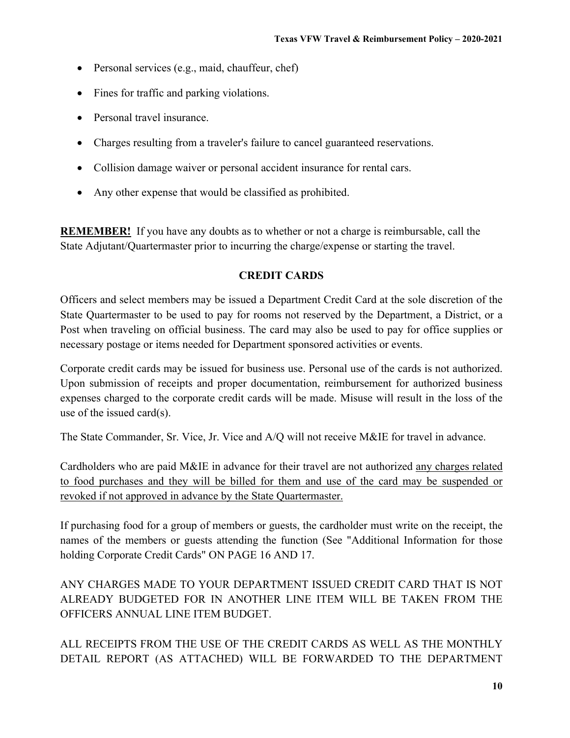- Personal services (e.g., maid, chauffeur, chef)
- Fines for traffic and parking violations.
- Personal travel insurance.
- Charges resulting from a traveler's failure to cancel guaranteed reservations.
- Collision damage waiver or personal accident insurance for rental cars.
- Any other expense that would be classified as prohibited.

**REMEMBER!** If you have any doubts as to whether or not a charge is reimbursable, call the State Adjutant/Quartermaster prior to incurring the charge/expense or starting the travel.

#### **CREDIT CARDS**

Officers and select members may be issued a Department Credit Card at the sole discretion of the State Quartermaster to be used to pay for rooms not reserved by the Department, a District, or a Post when traveling on official business. The card may also be used to pay for office supplies or necessary postage or items needed for Department sponsored activities or events.

Corporate credit cards may be issued for business use. Personal use of the cards is not authorized. Upon submission of receipts and proper documentation, reimbursement for authorized business expenses charged to the corporate credit cards will be made. Misuse will result in the loss of the use of the issued card(s).

The State Commander, Sr. Vice, Jr. Vice and A/Q will not receive M&IE for travel in advance.

Cardholders who are paid M&IE in advance for their travel are not authorized any charges related to food purchases and they will be billed for them and use of the card may be suspended or revoked if not approved in advance by the State Quartermaster.

If purchasing food for a group of members or guests, the cardholder must write on the receipt, the names of the members or guests attending the function (See "Additional Information for those holding Corporate Credit Cards" ON PAGE 16 AND 17.

ANY CHARGES MADE TO YOUR DEPARTMENT ISSUED CREDIT CARD THAT IS NOT ALREADY BUDGETED FOR IN ANOTHER LINE ITEM WILL BE TAKEN FROM THE OFFICERS ANNUAL LINE ITEM BUDGET.

ALL RECEIPTS FROM THE USE OF THE CREDIT CARDS AS WELL AS THE MONTHLY DETAIL REPORT (AS ATTACHED) WILL BE FORWARDED TO THE DEPARTMENT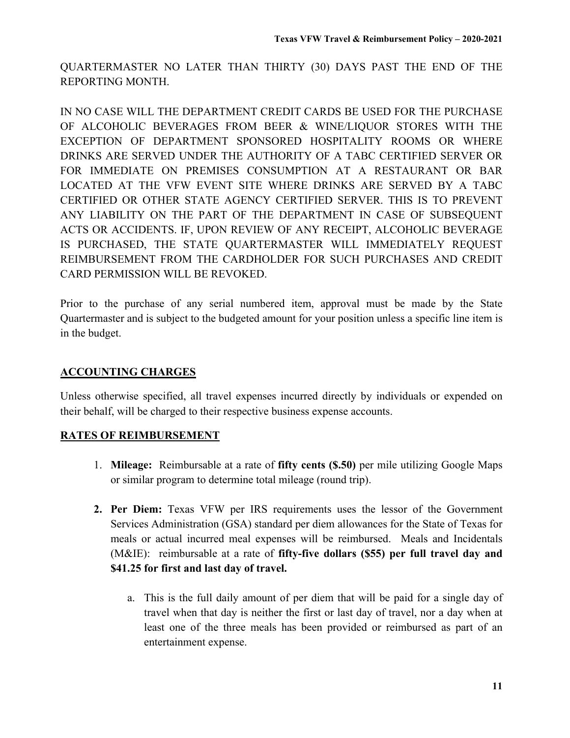QUARTERMASTER NO LATER THAN THIRTY (30) DAYS PAST THE END OF THE REPORTING MONTH.

IN NO CASE WILL THE DEPARTMENT CREDIT CARDS BE USED FOR THE PURCHASE OF ALCOHOLIC BEVERAGES FROM BEER & WINE/LIQUOR STORES WITH THE EXCEPTION OF DEPARTMENT SPONSORED HOSPITALITY ROOMS OR WHERE DRINKS ARE SERVED UNDER THE AUTHORITY OF A TABC CERTIFIED SERVER OR FOR IMMEDIATE ON PREMISES CONSUMPTION AT A RESTAURANT OR BAR LOCATED AT THE VFW EVENT SITE WHERE DRINKS ARE SERVED BY A TABC CERTIFIED OR OTHER STATE AGENCY CERTIFIED SERVER. THIS IS TO PREVENT ANY LIABILITY ON THE PART OF THE DEPARTMENT IN CASE OF SUBSEQUENT ACTS OR ACCIDENTS. IF, UPON REVIEW OF ANY RECEIPT, ALCOHOLIC BEVERAGE IS PURCHASED, THE STATE QUARTERMASTER WILL IMMEDIATELY REQUEST REIMBURSEMENT FROM THE CARDHOLDER FOR SUCH PURCHASES AND CREDIT CARD PERMISSION WILL BE REVOKED.

Prior to the purchase of any serial numbered item, approval must be made by the State Quartermaster and is subject to the budgeted amount for your position unless a specific line item is in the budget.

#### **ACCOUNTING CHARGES**

Unless otherwise specified, all travel expenses incurred directly by individuals or expended on their behalf, will be charged to their respective business expense accounts.

#### **RATES OF REIMBURSEMENT**

- 1. **Mileage:** Reimbursable at a rate of **fifty cents (\$.50)** per mile utilizing Google Maps or similar program to determine total mileage (round trip).
- **2. Per Diem:** Texas VFW per IRS requirements uses the lessor of the Government Services Administration (GSA) standard per diem allowances for the State of Texas for meals or actual incurred meal expenses will be reimbursed. Meals and Incidentals (M&IE): reimbursable at a rate of **fifty-five dollars (\$55) per full travel day and \$41.25 for first and last day of travel.** 
	- a. This is the full daily amount of per diem that will be paid for a single day of travel when that day is neither the first or last day of travel, nor a day when at least one of the three meals has been provided or reimbursed as part of an entertainment expense.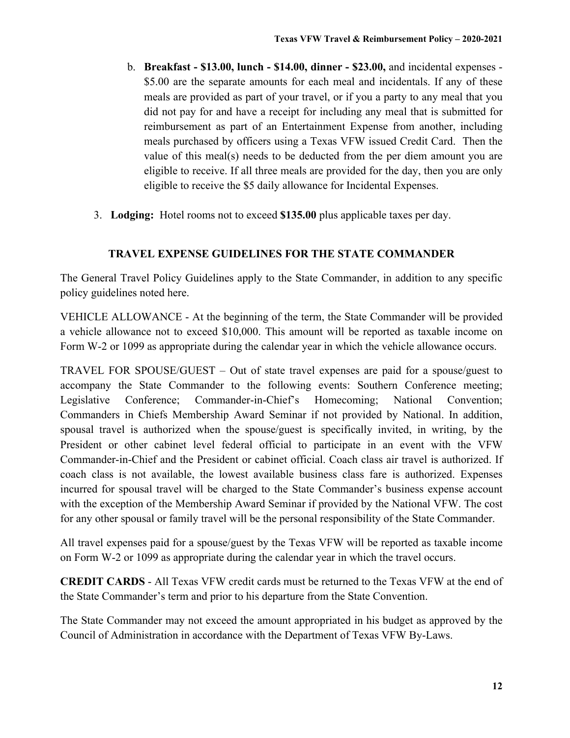- b. **Breakfast \$13.00, lunch \$14.00, dinner \$23.00,** and incidental expenses \$5.00 are the separate amounts for each meal and incidentals. If any of these meals are provided as part of your travel, or if you a party to any meal that you did not pay for and have a receipt for including any meal that is submitted for reimbursement as part of an Entertainment Expense from another, including meals purchased by officers using a Texas VFW issued Credit Card. Then the value of this meal(s) needs to be deducted from the per diem amount you are eligible to receive. If all three meals are provided for the day, then you are only eligible to receive the \$5 daily allowance for Incidental Expenses.
- 3. **Lodging:** Hotel rooms not to exceed **\$135.00** plus applicable taxes per day.

#### **TRAVEL EXPENSE GUIDELINES FOR THE STATE COMMANDER**

The General Travel Policy Guidelines apply to the State Commander, in addition to any specific policy guidelines noted here.

VEHICLE ALLOWANCE - At the beginning of the term, the State Commander will be provided a vehicle allowance not to exceed \$10,000. This amount will be reported as taxable income on Form W-2 or 1099 as appropriate during the calendar year in which the vehicle allowance occurs.

TRAVEL FOR SPOUSE/GUEST – Out of state travel expenses are paid for a spouse/guest to accompany the State Commander to the following events: Southern Conference meeting; Legislative Conference; Commander-in-Chief's Homecoming; National Convention; Commanders in Chiefs Membership Award Seminar if not provided by National. In addition, spousal travel is authorized when the spouse/guest is specifically invited, in writing, by the President or other cabinet level federal official to participate in an event with the VFW Commander-in-Chief and the President or cabinet official. Coach class air travel is authorized. If coach class is not available, the lowest available business class fare is authorized. Expenses incurred for spousal travel will be charged to the State Commander's business expense account with the exception of the Membership Award Seminar if provided by the National VFW. The cost for any other spousal or family travel will be the personal responsibility of the State Commander.

All travel expenses paid for a spouse/guest by the Texas VFW will be reported as taxable income on Form W-2 or 1099 as appropriate during the calendar year in which the travel occurs.

**CREDIT CARDS** - All Texas VFW credit cards must be returned to the Texas VFW at the end of the State Commander's term and prior to his departure from the State Convention.

The State Commander may not exceed the amount appropriated in his budget as approved by the Council of Administration in accordance with the Department of Texas VFW By-Laws.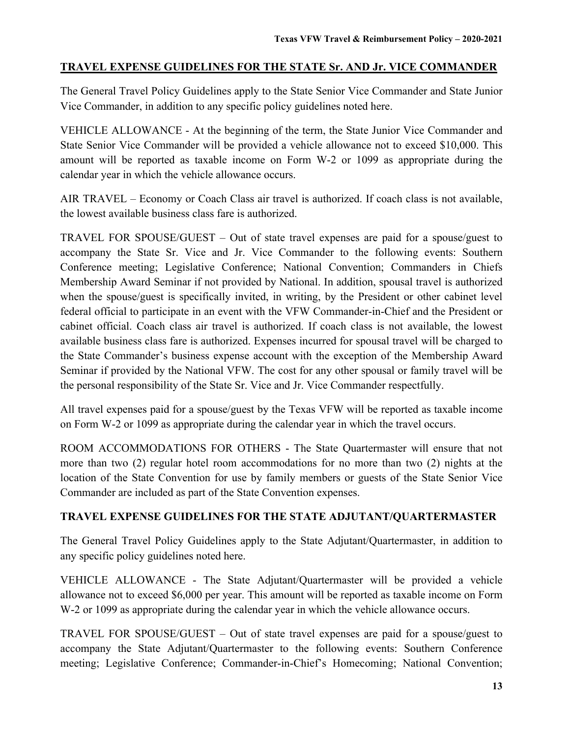#### **TRAVEL EXPENSE GUIDELINES FOR THE STATE Sr. AND Jr. VICE COMMANDER**

The General Travel Policy Guidelines apply to the State Senior Vice Commander and State Junior Vice Commander, in addition to any specific policy guidelines noted here.

VEHICLE ALLOWANCE - At the beginning of the term, the State Junior Vice Commander and State Senior Vice Commander will be provided a vehicle allowance not to exceed \$10,000. This amount will be reported as taxable income on Form W-2 or 1099 as appropriate during the calendar year in which the vehicle allowance occurs.

AIR TRAVEL – Economy or Coach Class air travel is authorized. If coach class is not available, the lowest available business class fare is authorized.

TRAVEL FOR SPOUSE/GUEST – Out of state travel expenses are paid for a spouse/guest to accompany the State Sr. Vice and Jr. Vice Commander to the following events: Southern Conference meeting; Legislative Conference; National Convention; Commanders in Chiefs Membership Award Seminar if not provided by National. In addition, spousal travel is authorized when the spouse/guest is specifically invited, in writing, by the President or other cabinet level federal official to participate in an event with the VFW Commander-in-Chief and the President or cabinet official. Coach class air travel is authorized. If coach class is not available, the lowest available business class fare is authorized. Expenses incurred for spousal travel will be charged to the State Commander's business expense account with the exception of the Membership Award Seminar if provided by the National VFW. The cost for any other spousal or family travel will be the personal responsibility of the State Sr. Vice and Jr. Vice Commander respectfully.

All travel expenses paid for a spouse/guest by the Texas VFW will be reported as taxable income on Form W-2 or 1099 as appropriate during the calendar year in which the travel occurs.

ROOM ACCOMMODATIONS FOR OTHERS - The State Quartermaster will ensure that not more than two (2) regular hotel room accommodations for no more than two (2) nights at the location of the State Convention for use by family members or guests of the State Senior Vice Commander are included as part of the State Convention expenses.

#### **TRAVEL EXPENSE GUIDELINES FOR THE STATE ADJUTANT/QUARTERMASTER**

The General Travel Policy Guidelines apply to the State Adjutant/Quartermaster, in addition to any specific policy guidelines noted here.

VEHICLE ALLOWANCE - The State Adjutant/Quartermaster will be provided a vehicle allowance not to exceed \$6,000 per year. This amount will be reported as taxable income on Form W-2 or 1099 as appropriate during the calendar year in which the vehicle allowance occurs.

TRAVEL FOR SPOUSE/GUEST – Out of state travel expenses are paid for a spouse/guest to accompany the State Adjutant/Quartermaster to the following events: Southern Conference meeting; Legislative Conference; Commander-in-Chief's Homecoming; National Convention;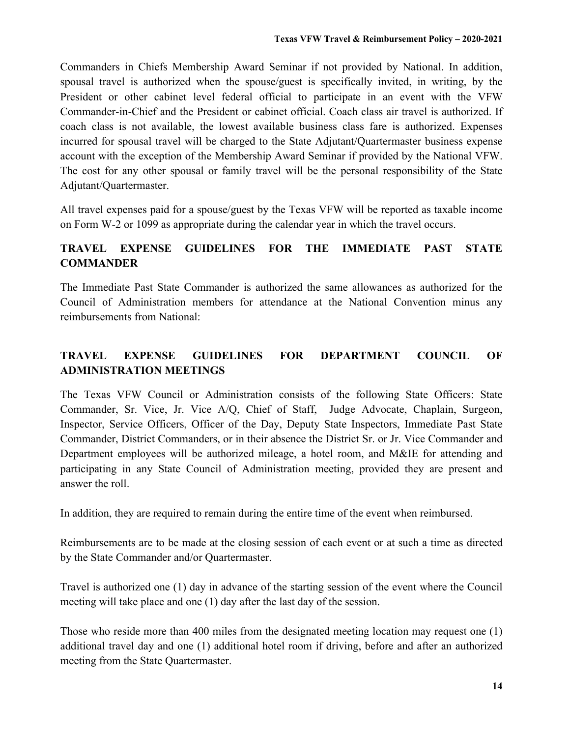Commanders in Chiefs Membership Award Seminar if not provided by National. In addition, spousal travel is authorized when the spouse/guest is specifically invited, in writing, by the President or other cabinet level federal official to participate in an event with the VFW Commander-in-Chief and the President or cabinet official. Coach class air travel is authorized. If coach class is not available, the lowest available business class fare is authorized. Expenses incurred for spousal travel will be charged to the State Adjutant/Quartermaster business expense account with the exception of the Membership Award Seminar if provided by the National VFW. The cost for any other spousal or family travel will be the personal responsibility of the State Adjutant/Quartermaster.

All travel expenses paid for a spouse/guest by the Texas VFW will be reported as taxable income on Form W-2 or 1099 as appropriate during the calendar year in which the travel occurs.

## **TRAVEL EXPENSE GUIDELINES FOR THE IMMEDIATE PAST STATE COMMANDER**

The Immediate Past State Commander is authorized the same allowances as authorized for the Council of Administration members for attendance at the National Convention minus any reimbursements from National:

# **TRAVEL EXPENSE GUIDELINES FOR DEPARTMENT COUNCIL OF ADMINISTRATION MEETINGS**

The Texas VFW Council or Administration consists of the following State Officers: State Commander, Sr. Vice, Jr. Vice A/Q, Chief of Staff, Judge Advocate, Chaplain, Surgeon, Inspector, Service Officers, Officer of the Day, Deputy State Inspectors, Immediate Past State Commander, District Commanders, or in their absence the District Sr. or Jr. Vice Commander and Department employees will be authorized mileage, a hotel room, and M&IE for attending and participating in any State Council of Administration meeting, provided they are present and answer the roll.

In addition, they are required to remain during the entire time of the event when reimbursed.

Reimbursements are to be made at the closing session of each event or at such a time as directed by the State Commander and/or Quartermaster.

Travel is authorized one (1) day in advance of the starting session of the event where the Council meeting will take place and one (1) day after the last day of the session.

Those who reside more than 400 miles from the designated meeting location may request one (1) additional travel day and one (1) additional hotel room if driving, before and after an authorized meeting from the State Quartermaster.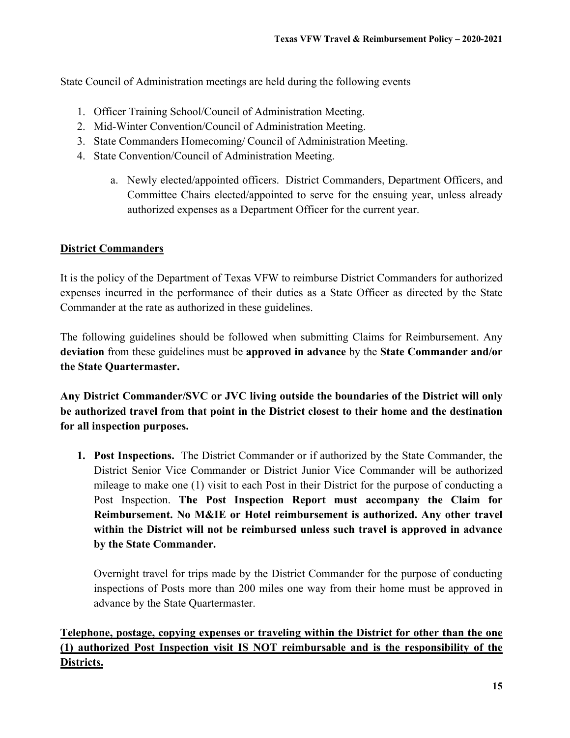State Council of Administration meetings are held during the following events

- 1. Officer Training School/Council of Administration Meeting.
- 2. Mid-Winter Convention/Council of Administration Meeting.
- 3. State Commanders Homecoming/ Council of Administration Meeting.
- 4. State Convention/Council of Administration Meeting.
	- a. Newly elected/appointed officers. District Commanders, Department Officers, and Committee Chairs elected/appointed to serve for the ensuing year, unless already authorized expenses as a Department Officer for the current year.

#### **District Commanders**

It is the policy of the Department of Texas VFW to reimburse District Commanders for authorized expenses incurred in the performance of their duties as a State Officer as directed by the State Commander at the rate as authorized in these guidelines.

The following guidelines should be followed when submitting Claims for Reimbursement. Any **deviation** from these guidelines must be **approved in advance** by the **State Commander and/or the State Quartermaster.** 

**Any District Commander/SVC or JVC living outside the boundaries of the District will only be authorized travel from that point in the District closest to their home and the destination for all inspection purposes.** 

**1. Post Inspections.** The District Commander or if authorized by the State Commander, the District Senior Vice Commander or District Junior Vice Commander will be authorized mileage to make one (1) visit to each Post in their District for the purpose of conducting a Post Inspection. **The Post Inspection Report must accompany the Claim for Reimbursement. No M&IE or Hotel reimbursement is authorized. Any other travel within the District will not be reimbursed unless such travel is approved in advance by the State Commander.** 

Overnight travel for trips made by the District Commander for the purpose of conducting inspections of Posts more than 200 miles one way from their home must be approved in advance by the State Quartermaster.

**Telephone, postage, copying expenses or traveling within the District for other than the one (1) authorized Post Inspection visit IS NOT reimbursable and is the responsibility of the Districts.**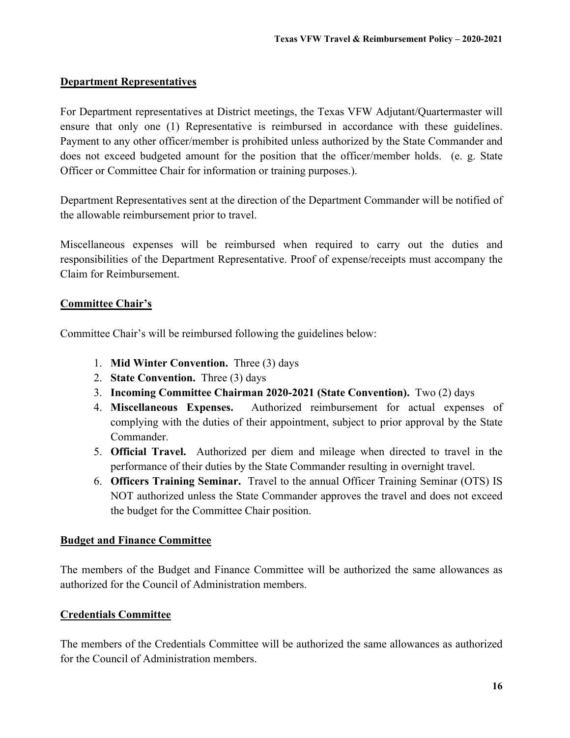#### **Department Representatives**

For Department representatives at District meetings, the Texas VFW Adjutant/Quartermaster will ensure that only one (1) Representative is reimbursed in accordance with these guidelines. Payment to any other officer/member is prohibited unless authorized by the State Commander and does not exceed budgeted amount for the position that the officer/member holds. (e. g. State Officer or Committee Chair for information or training purposes.).

Department Representatives sent at the direction of the Department Commander will be notified of the allowable reimbursement prior to travel.

Miscellaneous expenses will be reimbursed when required to carry out the duties and responsibilities of the Department Representative. Proof of expense/receipts must accompany the Claim for Reimbursement.

#### **Committee Chair's**

Committee Chair's will be reimbursed following the guidelines below:

- 1. **Mid Winter Convention.** Three (3) days
- 2. **State Convention.** Three (3) days
- 3. **Incoming Committee Chairman 2020-2021 (State Convention).** Two (2) days
- 4. **Miscellaneous Expenses.** Authorized reimbursement for actual expenses of complying with the duties of their appointment, subject to prior approval by the State Commander.
- 5. **Official Travel.** Authorized per diem and mileage when directed to travel in the performance of their duties by the State Commander resulting in overnight travel.
- 6. **Officers Training Seminar.** Travel to the annual Officer Training Seminar (OTS) IS NOT authorized unless the State Commander approves the travel and does not exceed the budget for the Committee Chair position.

#### **Budget and Finance Committee**

The members of the Budget and Finance Committee will be authorized the same allowances as authorized for the Council of Administration members.

#### **Credentials Committee**

The members of the Credentials Committee will be authorized the same allowances as authorized for the Council of Administration members.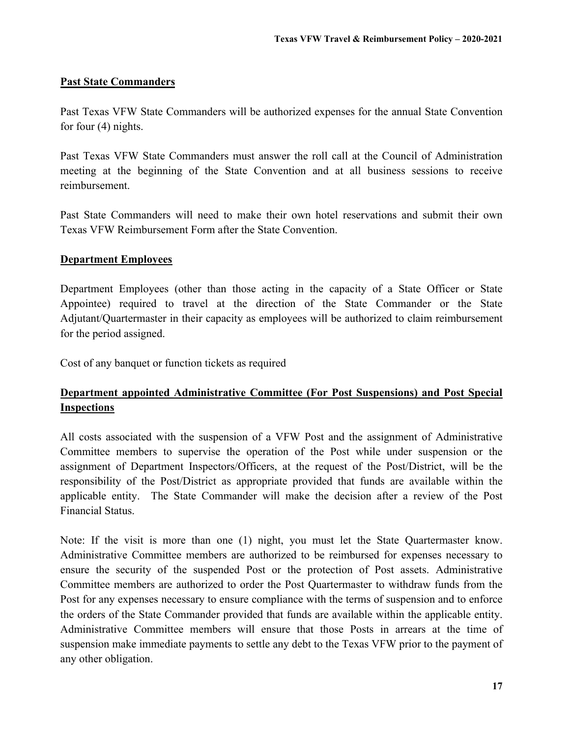#### **Past State Commanders**

Past Texas VFW State Commanders will be authorized expenses for the annual State Convention for four (4) nights.

Past Texas VFW State Commanders must answer the roll call at the Council of Administration meeting at the beginning of the State Convention and at all business sessions to receive reimbursement.

Past State Commanders will need to make their own hotel reservations and submit their own Texas VFW Reimbursement Form after the State Convention.

#### **Department Employees**

Department Employees (other than those acting in the capacity of a State Officer or State Appointee) required to travel at the direction of the State Commander or the State Adjutant/Quartermaster in their capacity as employees will be authorized to claim reimbursement for the period assigned.

Cost of any banquet or function tickets as required

## **Department appointed Administrative Committee (For Post Suspensions) and Post Special Inspections**

All costs associated with the suspension of a VFW Post and the assignment of Administrative Committee members to supervise the operation of the Post while under suspension or the assignment of Department Inspectors/Officers, at the request of the Post/District, will be the responsibility of the Post/District as appropriate provided that funds are available within the applicable entity. The State Commander will make the decision after a review of the Post Financial Status.

Note: If the visit is more than one (1) night, you must let the State Quartermaster know. Administrative Committee members are authorized to be reimbursed for expenses necessary to ensure the security of the suspended Post or the protection of Post assets. Administrative Committee members are authorized to order the Post Quartermaster to withdraw funds from the Post for any expenses necessary to ensure compliance with the terms of suspension and to enforce the orders of the State Commander provided that funds are available within the applicable entity. Administrative Committee members will ensure that those Posts in arrears at the time of suspension make immediate payments to settle any debt to the Texas VFW prior to the payment of any other obligation.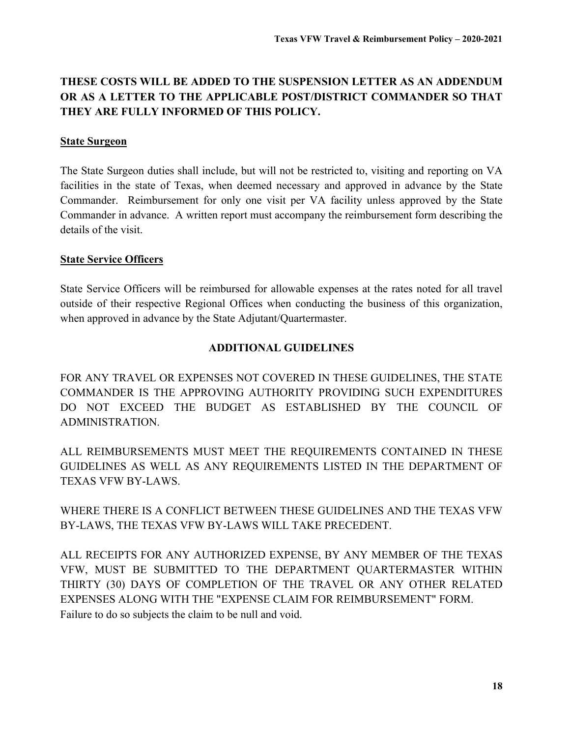# **THESE COSTS WILL BE ADDED TO THE SUSPENSION LETTER AS AN ADDENDUM OR AS A LETTER TO THE APPLICABLE POST/DISTRICT COMMANDER SO THAT THEY ARE FULLY INFORMED OF THIS POLICY.**

#### **State Surgeon**

The State Surgeon duties shall include, but will not be restricted to, visiting and reporting on VA facilities in the state of Texas, when deemed necessary and approved in advance by the State Commander. Reimbursement for only one visit per VA facility unless approved by the State Commander in advance. A written report must accompany the reimbursement form describing the details of the visit.

#### **State Service Officers**

State Service Officers will be reimbursed for allowable expenses at the rates noted for all travel outside of their respective Regional Offices when conducting the business of this organization, when approved in advance by the State Adjutant/Quartermaster.

#### **ADDITIONAL GUIDELINES**

FOR ANY TRAVEL OR EXPENSES NOT COVERED IN THESE GUIDELINES, THE STATE COMMANDER IS THE APPROVING AUTHORITY PROVIDING SUCH EXPENDITURES DO NOT EXCEED THE BUDGET AS ESTABLISHED BY THE COUNCIL OF ADMINISTRATION.

ALL REIMBURSEMENTS MUST MEET THE REQUIREMENTS CONTAINED IN THESE GUIDELINES AS WELL AS ANY REQUIREMENTS LISTED IN THE DEPARTMENT OF TEXAS VFW BY-LAWS.

WHERE THERE IS A CONFLICT BETWEEN THESE GUIDELINES AND THE TEXAS VFW BY-LAWS, THE TEXAS VFW BY-LAWS WILL TAKE PRECEDENT.

ALL RECEIPTS FOR ANY AUTHORIZED EXPENSE, BY ANY MEMBER OF THE TEXAS VFW, MUST BE SUBMITTED TO THE DEPARTMENT QUARTERMASTER WITHIN THIRTY (30) DAYS OF COMPLETION OF THE TRAVEL OR ANY OTHER RELATED EXPENSES ALONG WITH THE "EXPENSE CLAIM FOR REIMBURSEMENT" FORM. Failure to do so subjects the claim to be null and void.